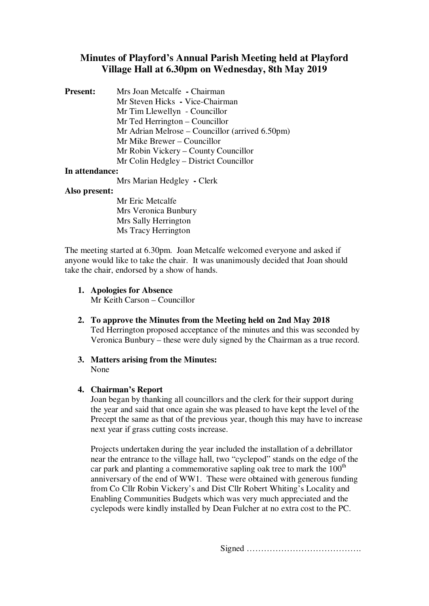# **Minutes of Playford's Annual Parish Meeting held at Playford Village Hall at 6.30pm on Wednesday, 8th May 2019**

| <b>Present:</b> | Mrs Joan Metcalfe - Chairman                               |
|-----------------|------------------------------------------------------------|
|                 | Mr Steven Hicks - Vice-Chairman                            |
|                 | Mr Tim Llewellyn - Councillor                              |
|                 | Mr Ted Herrington – Councillor                             |
|                 | Mr Adrian Melrose – Councillor (arrived $6.50 \text{pm}$ ) |
|                 | Mr Mike Brewer – Councillor                                |
|                 | Mr Robin Vickery – County Councillor                       |
|                 | Mr Colin Hedgley – District Councillor                     |
|                 |                                                            |

## **In attendance:**

Mrs Marian Hedgley **-** Clerk

## **Also present:**

Mr Eric Metcalfe Mrs Veronica Bunbury Mrs Sally Herrington Ms Tracy Herrington

The meeting started at 6.30pm. Joan Metcalfe welcomed everyone and asked if anyone would like to take the chair. It was unanimously decided that Joan should take the chair, endorsed by a show of hands.

- **1. Apologies for Absence** Mr Keith Carson – Councillor
- **2. To approve the Minutes from the Meeting held on 2nd May 2018** Ted Herrington proposed acceptance of the minutes and this was seconded by Veronica Bunbury – these were duly signed by the Chairman as a true record.
- **3. Matters arising from the Minutes:**  None

## **4. Chairman's Report**

Joan began by thanking all councillors and the clerk for their support during the year and said that once again she was pleased to have kept the level of the Precept the same as that of the previous year, though this may have to increase next year if grass cutting costs increase.

Projects undertaken during the year included the installation of a debrillator near the entrance to the village hall, two "cyclepod" stands on the edge of the car park and planting a commemorative sapling oak tree to mark the  $100<sup>th</sup>$ anniversary of the end of WW1. These were obtained with generous funding from Co Cllr Robin Vickery's and Dist Cllr Robert Whiting's Locality and Enabling Communities Budgets which was very much appreciated and the cyclepods were kindly installed by Dean Fulcher at no extra cost to the PC.

Signed ………………………………….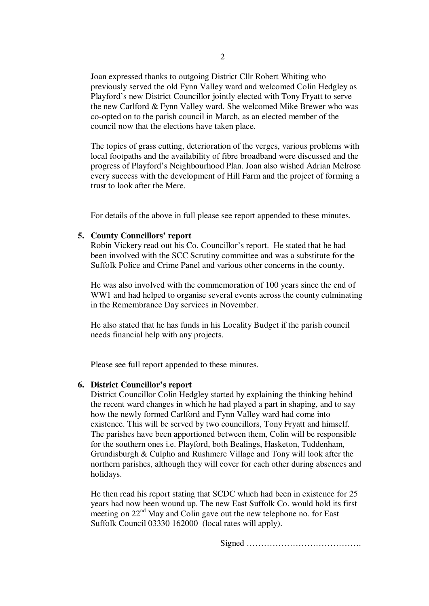Joan expressed thanks to outgoing District Cllr Robert Whiting who previously served the old Fynn Valley ward and welcomed Colin Hedgley as Playford's new District Councillor jointly elected with Tony Fryatt to serve the new Carlford & Fynn Valley ward. She welcomed Mike Brewer who was co-opted on to the parish council in March, as an elected member of the council now that the elections have taken place.

The topics of grass cutting, deterioration of the verges, various problems with local footpaths and the availability of fibre broadband were discussed and the progress of Playford's Neighbourhood Plan. Joan also wished Adrian Melrose every success with the development of Hill Farm and the project of forming a trust to look after the Mere.

For details of the above in full please see report appended to these minutes.

#### **5. County Councillors' report**

Robin Vickery read out his Co. Councillor's report. He stated that he had been involved with the SCC Scrutiny committee and was a substitute for the Suffolk Police and Crime Panel and various other concerns in the county.

He was also involved with the commemoration of 100 years since the end of WW1 and had helped to organise several events across the county culminating in the Remembrance Day services in November.

He also stated that he has funds in his Locality Budget if the parish council needs financial help with any projects.

Please see full report appended to these minutes.

#### **6. District Councillor's report**

District Councillor Colin Hedgley started by explaining the thinking behind the recent ward changes in which he had played a part in shaping, and to say how the newly formed Carlford and Fynn Valley ward had come into existence. This will be served by two councillors, Tony Fryatt and himself. The parishes have been apportioned between them, Colin will be responsible for the southern ones i.e. Playford, both Bealings, Hasketon, Tuddenham, Grundisburgh & Culpho and Rushmere Village and Tony will look after the northern parishes, although they will cover for each other during absences and holidays.

He then read his report stating that SCDC which had been in existence for 25 years had now been wound up. The new East Suffolk Co. would hold its first meeting on 22<sup>nd</sup> May and Colin gave out the new telephone no. for East Suffolk Council 03330 162000 (local rates will apply).

Signed ………………………………….